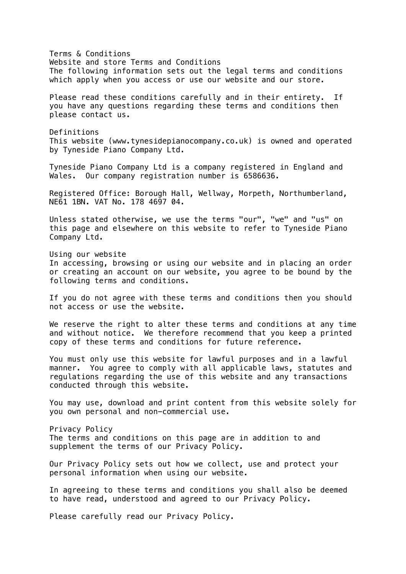Terms & Conditions Website and store Terms and Conditions The following information sets out the legal terms and conditions which apply when you access or use our website and our store. Please read these conditions carefully and in their entirety. If you have any questions regarding these terms and conditions then please contact us. Definitions This website (www.tynesidepianocompany.co.uk) is owned and operated by Tyneside Piano Company Ltd. Tyneside Piano Company Ltd is a company registered in England and Wales. Our company registration number is 6586636. Registered Office: Borough Hall, Wellway, Morpeth, Northumberland, NE61 1BN. VAT No. 178 4697 04. Unless stated otherwise, we use the terms "our", "we" and "us" on this page and elsewhere on this website to refer to Tyneside Piano Company Ltd. Using our website In accessing, browsing or using our website and in placing an order or creating an account on our website, you agree to be bound by the following terms and conditions. If you do not agree with these terms and conditions then you should not access or use the website. We reserve the right to alter these terms and conditions at any time and without notice. We therefore recommend that you keep a printed copy of these terms and conditions for future reference. You must only use this website for lawful purposes and in a lawful manner. You agree to comply with all applicable laws, statutes and regulations regarding the use of this website and any transactions conducted through this website. You may use, download and print content from this website solely for you own personal and non-commercial use. Privacy Policy The terms and conditions on this page are in addition to and supplement the terms of our Privacy Policy. Our Privacy Policy sets out how we collect, use and protect your personal information when using our website. In agreeing to these terms and conditions you shall also be deemed to have read, understood and agreed to our Privacy Policy. Please carefully read our Privacy Policy.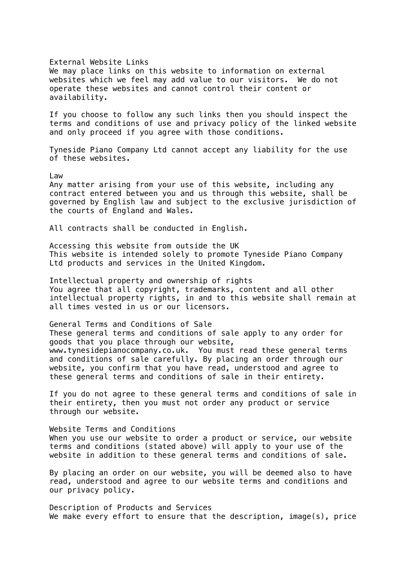## External Website Links

We may place links on this website to information on external websites which we feel may add value to our visitors. We do not operate these websites and cannot control their content or availability.

If you choose to follow any such links then you should inspect the terms and conditions of use and privacy policy of the linked website and only proceed if you agree with those conditions.

Tyneside Piano Company Ltd cannot accept any liability for the use of these websites.

## Law

Any matter arising from your use of this website, including any contract entered between you and us through this website, shall be governed by English law and subject to the exclusive jurisdiction of the courts of England and Wales.

All contracts shall be conducted in English.

Accessing this website from outside the UK This website is intended solely to promote Tyneside Piano Company Ltd products and services in the United Kingdom.

Intellectual property and ownership of rights You agree that all copyright, trademarks, content and all other intellectual property rights, in and to this website shall remain at all times vested in us or our licensors.

General Terms and Conditions of Sale These general terms and conditions of sale apply to any order for goods that you place through our website, www.tynesidepianocompany.co.uk. You must read these general terms and conditions of sale carefully. By placing an order through our website, you confirm that you have read, understood and agree to these general terms and conditions of sale in their entirety.

If you do not agree to these general terms and conditions of sale in their entirety, then you must not order any product or service through our website.

Website Terms and Conditions When you use our website to order a product or service, our website terms and conditions (stated above) will apply to your use of the website in addition to these general terms and conditions of sale.

By placing an order on our website, you will be deemed also to have read, understood and agree to our website terms and conditions and our privacy policy.

Description of Products and Services We make every effort to ensure that the description, image(s), price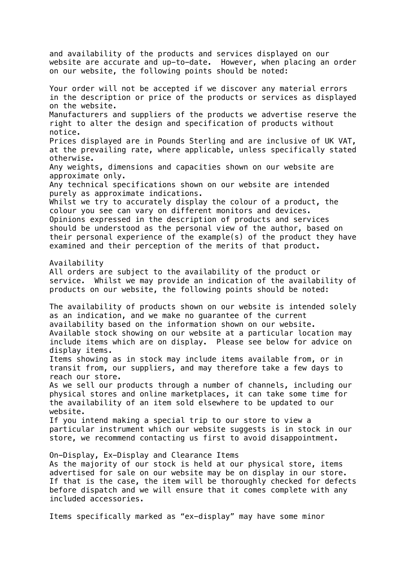and availability of the products and services displayed on our website are accurate and up-to-date. However, when placing an order on our website, the following points should be noted: Your order will not be accepted if we discover any material errors in the description or price of the products or services as displayed on the website. Manufacturers and suppliers of the products we advertise reserve the right to alter the design and specification of products without notice. Prices displayed are in Pounds Sterling and are inclusive of UK VAT, at the prevailing rate, where applicable, unless specifically stated otherwise. Any weights, dimensions and capacities shown on our website are approximate only. Any technical specifications shown on our website are intended purely as approximate indications. Whilst we try to accurately display the colour of a product, the colour you see can vary on different monitors and devices. Opinions expressed in the description of products and services should be understood as the personal view of the author, based on their personal experience of the example(s) of the product they have examined and their perception of the merits of that product. Availability All orders are subject to the availability of the product or service. Whilst we may provide an indication of the availability of products on our website, the following points should be noted: The availability of products shown on our website is intended solely as an indication, and we make no guarantee of the current availability based on the information shown on our website. Available stock showing on our website at a particular location may include items which are on display. Please see below for advice on display items. Items showing as in stock may include items available from, or in transit from, our suppliers, and may therefore take a few days to reach our store. As we sell our products through a number of channels, including our physical stores and online marketplaces, it can take some time for the availability of an item sold elsewhere to be updated to our website. If you intend making a special trip to our store to view a particular instrument which our website suggests is in stock in our store, we recommend contacting us first to avoid disappointment. On-Display, Ex-Display and Clearance Items As the majority of our stock is held at our physical store, items advertised for sale on our website may be on display in our store. If that is the case, the item will be thoroughly checked for defects before dispatch and we will ensure that it comes complete with any included accessories. Items specifically marked as "ex-display" may have some minor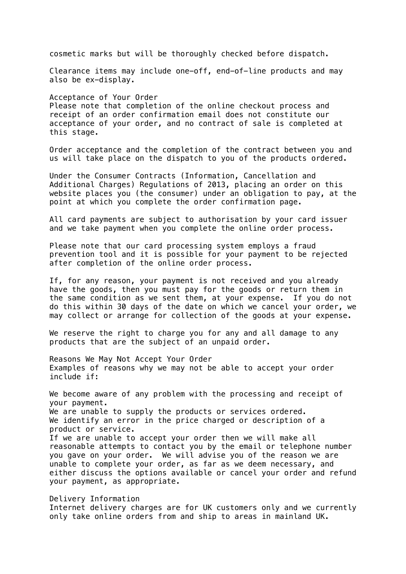cosmetic marks but will be thoroughly checked before dispatch.

Clearance items may include one-off, end-of-line products and may also be ex-display.

Acceptance of Your Order Please note that completion of the online checkout process and receipt of an order confirmation email does not constitute our acceptance of your order, and no contract of sale is completed at this stage.

Order acceptance and the completion of the contract between you and us will take place on the dispatch to you of the products ordered.

Under the Consumer Contracts (Information, Cancellation and Additional Charges) Regulations of 2013, placing an order on this website places you (the consumer) under an obligation to pay, at the point at which you complete the order confirmation page.

All card payments are subject to authorisation by your card issuer and we take payment when you complete the online order process.

Please note that our card processing system employs a fraud prevention tool and it is possible for your payment to be rejected after completion of the online order process.

If, for any reason, your payment is not received and you already have the goods, then you must pay for the goods or return them in the same condition as we sent them, at your expense. If you do not do this within 30 days of the date on which we cancel your order, we may collect or arrange for collection of the goods at your expense.

We reserve the right to charge you for any and all damage to any products that are the subject of an unpaid order.

Reasons We May Not Accept Your Order Examples of reasons why we may not be able to accept your order include if:

We become aware of any problem with the processing and receipt of your payment. We are unable to supply the products or services ordered. We identify an error in the price charged or description of a product or service. If we are unable to accept your order then we will make all reasonable attempts to contact you by the email or telephone number you gave on your order. We will advise you of the reason we are unable to complete your order, as far as we deem necessary, and either discuss the options available or cancel your order and refund your payment, as appropriate.

## Delivery Information

Internet delivery charges are for UK customers only and we currently only take online orders from and ship to areas in mainland UK.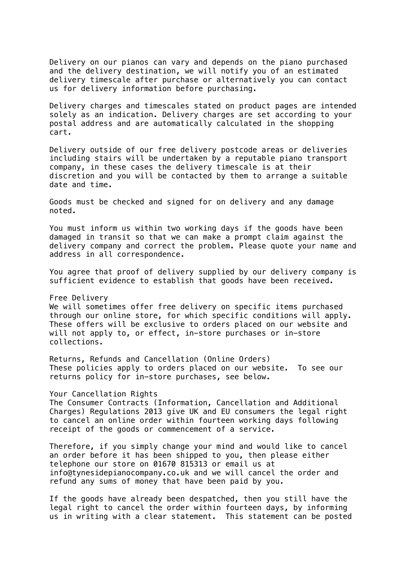Delivery on our pianos can vary and depends on the piano purchased and the delivery destination, we will notify you of an estimated delivery timescale after purchase or alternatively you can contact us for delivery information before purchasing.

Delivery charges and timescales stated on product pages are intended solely as an indication. Delivery charges are set according to your postal address and are automatically calculated in the shopping cart.

Delivery outside of our free delivery postcode areas or deliveries including stairs will be undertaken by a reputable piano transport company, in these cases the delivery timescale is at their discretion and you will be contacted by them to arrange a suitable date and time.

Goods must be checked and signed for on delivery and any damage noted.

You must inform us within two working days if the goods have been damaged in transit so that we can make a prompt claim against the delivery company and correct the problem. Please quote your name and address in all correspondence.

You agree that proof of delivery supplied by our delivery company is sufficient evidence to establish that goods have been received.

Free Delivery

We will sometimes offer free delivery on specific items purchased through our online store, for which specific conditions will apply. These offers will be exclusive to orders placed on our website and will not apply to, or effect, in-store purchases or in-store collections.

Returns, Refunds and Cancellation (Online Orders) These policies apply to orders placed on our website. To see our returns policy for in-store purchases, see below.

Your Cancellation Rights

The Consumer Contracts (Information, Cancellation and Additional Charges) Regulations 2013 give UK and EU consumers the legal right to cancel an online order within fourteen working days following receipt of the goods or commencement of a service.

Therefore, if you simply change your mind and would like to cancel an order before it has been shipped to you, then please either telephone our store on 01670 815313 or email us at info@tynesidepianocompany.co.uk and we will cancel the order and refund any sums of money that have been paid by you.

If the goods have already been despatched, then you still have the legal right to cancel the order within fourteen days, by informing us in writing with a clear statement. This statement can be posted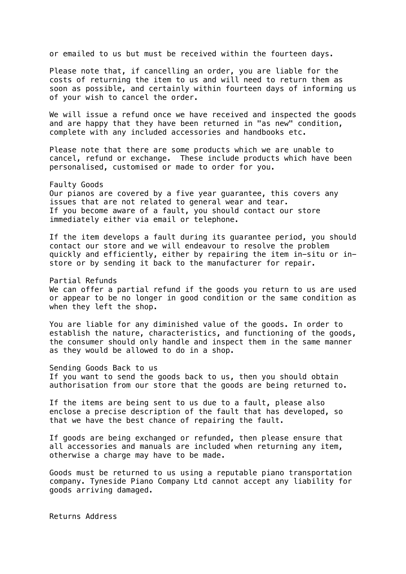or emailed to us but must be received within the fourteen days.

Please note that, if cancelling an order, you are liable for the costs of returning the item to us and will need to return them as soon as possible, and certainly within fourteen days of informing us of your wish to cancel the order.

We will issue a refund once we have received and inspected the goods and are happy that they have been returned in "as new" condition, complete with any included accessories and handbooks etc.

Please note that there are some products which we are unable to cancel, refund or exchange. These include products which have been personalised, customised or made to order for you.

Faulty Goods Our pianos are covered by a five year guarantee, this covers any issues that are not related to general wear and tear. If you become aware of a fault, you should contact our store immediately either via email or telephone.

If the item develops a fault during its guarantee period, you should contact our store and we will endeavour to resolve the problem quickly and efficiently, either by repairing the item in-situ or instore or by sending it back to the manufacturer for repair.

Partial Refunds We can offer a partial refund if the goods you return to us are used or appear to be no longer in good condition or the same condition as when they left the shop.

You are liable for any diminished value of the goods. In order to establish the nature, characteristics, and functioning of the goods, the consumer should only handle and inspect them in the same manner as they would be allowed to do in a shop.

Sending Goods Back to us If you want to send the goods back to us, then you should obtain authorisation from our store that the goods are being returned to.

If the items are being sent to us due to a fault, please also enclose a precise description of the fault that has developed, so that we have the best chance of repairing the fault.

If goods are being exchanged or refunded, then please ensure that all accessories and manuals are included when returning any item, otherwise a charge may have to be made.

Goods must be returned to us using a reputable piano transportation company. Tyneside Piano Company Ltd cannot accept any liability for goods arriving damaged.

Returns Address